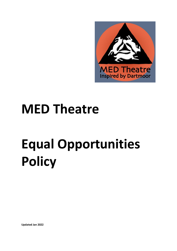

## **MED Theatre**

## **Equal Opportunities Policy**

**Updated Jan 2022**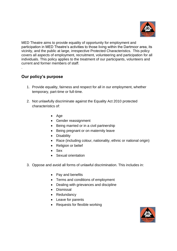

MED Theatre aims to provide equality of opportunity for employment and participation in MED Theatre's activities to those living within the Dartmoor area, its vicinity, and the public at large, irrespective Protected Characteristics. This policy covers all aspects of employment, recruitment, volunteering and participation for all individuals. This policy applies to the treatment of our participants, volunteers and current and former members of staff.

## **Our policy's purpose**

.

- 1. Provide equality, fairness and respect for all in our employment, whether temporary, part-time or full-time.
- 2. Not unlawfully discriminate against the Equality Act 2010 protected characteristics of:
	- Age
	- Gender reassignment
	- Being married or in a civil partnership
	- Being pregnant or on maternity leave
	- Disability
	- Race (including colour, nationality, ethnic or national origin)
	- Religion or belief
	- Sex
	- Sexual orientation
- 3. Oppose and avoid all forms of unlawful discrimination. This includes in:
	- Pay and benefits
	- Terms and conditions of employment
	- Dealing with grievances and discipline
	- Dismissal
	- Redundancy
	- Leave for parents
	- Requests for flexible working